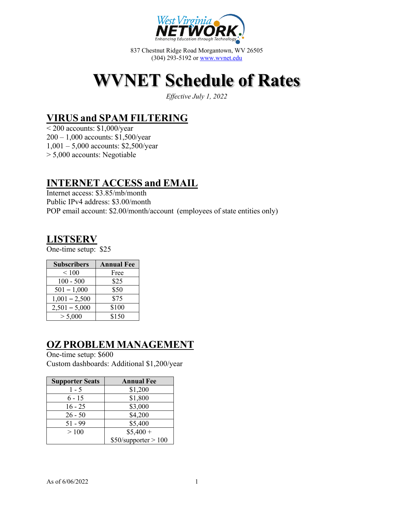

837 Chestnut Ridge Road Morgantown, WV 26505 (304) 293-5192 or www.wvnet.edu

# **WVNET Schedule of Rates**

*Effective July 1, 2022*

# **VIRUS and SPAM FILTERING**

 $\leq$  200 accounts: \$1,000/year 200 – 1,000 accounts: \$1,500/year 1,001 – 5,000 accounts: \$2,500/year > 5,000 accounts: Negotiable

# **INTERNET ACCESS and EMAIL**

Internet access: \$3.85/mb/month Public IPv4 address: \$3.00/month POP email account: \$2.00/month/account (employees of state entities only)

### **LISTSERV**

One-time setup: \$25

| <b>Subscribers</b> | <b>Annual Fee</b> |  |
|--------------------|-------------------|--|
| ${}_{\leq 100}$    | Free              |  |
| $100 - 500$        | \$25              |  |
| $501 - 1,000$      | \$50              |  |
| $1,001 - 2,500$    | \$75              |  |
| $2,501 - 5,000$    | \$100             |  |
| > 5,000            | \$150             |  |

# **OZ PROBLEM MANAGEMENT**

One-time setup: \$600 Custom dashboards: Additional \$1,200/year

| <b>Supporter Seats</b> | <b>Annual Fee</b>      |  |
|------------------------|------------------------|--|
| 1 - 5                  | \$1,200                |  |
| $6 - 15$               | \$1,800                |  |
| $16 - 25$              | \$3,000                |  |
| $26 - 50$              | \$4,200                |  |
| $51 - 99$              | \$5,400                |  |
| >100                   | $$5,400+$              |  |
|                        | $$50/s$ upporter > 100 |  |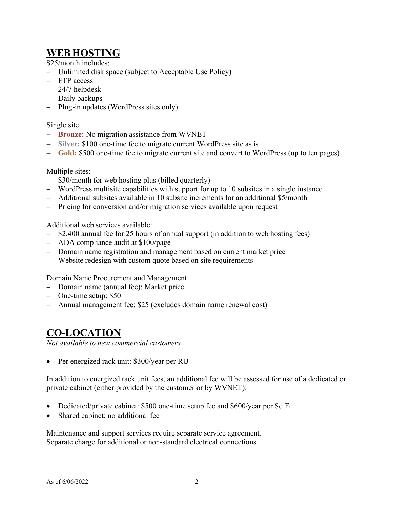# **WEB HOSTING**

\$25/month includes:

- Unlimited disk space (subject to Acceptable Use Policy)
- FTP access
- 24/7 helpdesk
- Daily backups
- Plug-in updates (WordPress sites only)

#### Single site:

- **Bronze:** No migration assistance from WVNET
- **Silver:** \$100 one-time fee to migrate current WordPress site as is
- **Gold:** \$500 one-time fee to migrate current site and convert to WordPress (up to ten pages)

#### Multiple sites:

- \$30/month for web hosting plus (billed quarterly)
- WordPress multisite capabilities with support for up to 10 subsites in a single instance
- Additional subsites available in 10 subsite increments for an additional \$5/month
- Pricing for conversion and/or migration services available upon request

Additional web services available:

- \$2,400 annual fee for 25 hours of annual support (in addition to web hosting fees)
- ADA compliance audit at \$100/page
- Domain name registration and management based on current market price
- Website redesign with custom quote based on site requirements

Domain Name Procurement and Management

- Domain name (annual fee): Market price
- One-time setup: \$50
- Annual management fee: \$25 (excludes domain name renewal cost)

#### **CO-LOCATION**

*Not available to new commercial customers*

• Per energized rack unit: \$300/year per RU

In addition to energized rack unit fees, an additional fee will be assessed for use of a dedicated or private cabinet (either provided by the customer or by WVNET):

- Dedicated/private cabinet: \$500 one-time setup fee and \$600/year per Sq Ft
- Shared cabinet: no additional fee

Maintenance and support services require separate service agreement. Separate charge for additional or non-standard electrical connections.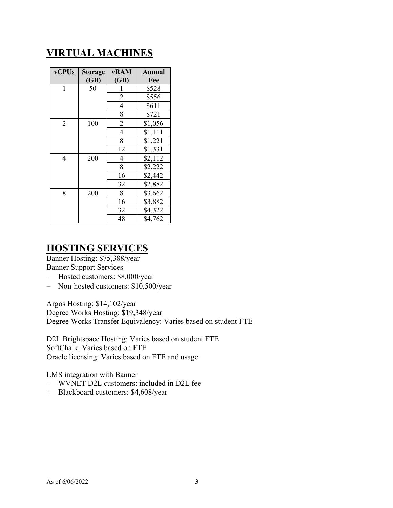# **VIRTUAL MACHINES**

| <b>vCPUs</b>   | <b>Storage</b><br>(GB) | vRAM<br>(GB)   | Annual<br>Fee |
|----------------|------------------------|----------------|---------------|
| 1              | 50                     |                | \$528         |
|                |                        | 2              | \$556         |
|                |                        | 4              | \$611         |
|                |                        | 8              | \$721         |
| $\overline{2}$ | 100                    | $\overline{2}$ | \$1,056       |
|                |                        | 4              | \$1,111       |
|                |                        | 8              | \$1,221       |
|                |                        | 12             | \$1,331       |
| 4              | 200                    | 4              | \$2,112       |
|                |                        | 8              | \$2,222       |
|                |                        | 16             | \$2,442       |
|                |                        | 32             | \$2,882       |
| 8              | 200                    | 8              | \$3,662       |
|                |                        | 16             | \$3,882       |
|                |                        | 32             | \$4,322       |
|                |                        | 48             | \$4,762       |

### **HOSTING SERVICES**

Banner Hosting: \$75,388/year Banner Support Services

- Hosted customers: \$8,000/year
- Non-hosted customers: \$10,500/year

Argos Hosting: \$14,102/year Degree Works Hosting: \$19,348/year Degree Works Transfer Equivalency: Varies based on student FTE

D2L Brightspace Hosting: Varies based on student FTE SoftChalk: Varies based on FTE Oracle licensing: Varies based on FTE and usage

LMS integration with Banner

- WVNET D2L customers: included in D2L fee
- Blackboard customers: \$4,608/year